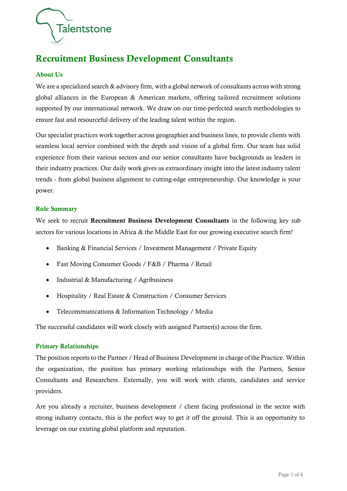

# Recruitment Business Development Consultants

## About Us

We are a specialized search & advisory firm, with a global network of consultants across with strong global alliances in the European & American markets, offering tailored recruitment solutions supported by our international network. We draw on our time-perfected search methodologies to ensure fast and resourceful delivery of the leading talent within the region.

Our specialist practices work together across geographies and business lines, to provide clients with seamless local service combined with the depth and vision of a global firm. Our team has solid experience from their various sectors and our senior consultants have backgrounds as leaders in their industry practices. Our daily work gives us extraordinary insight into the latest industry talent trends - from global business alignment to cutting-edge entrepreneurship. Our knowledge is your power.

## Role Summary

We seek to recruit Recruitment Business Development Consultants in the following key sub sectors for various locations in Africa & the Middle East for our growing executive search firm!

- Banking & Financial Services / Investment Management / Private Equity
- Fast Moving Consumer Goods / F&B / Pharma / Retail
- Industrial & Manufacturing / Agribusiness
- Hospitality / Real Estate & Construction / Consumer Services
- Telecommunications & Information Technology / Media

The successful candidates will work closely with assigned Partner(s) across the firm.

## Primary Relationships

The position reports to the Partner / Head of Business Development in charge of the Practice. Within the organization, the position has primary working relationships with the Partners, Senior Consultants and Researchers. Externally, you will work with clients, candidates and service providers.

Are you already a recruiter, business development / client facing professional in the sector with strong industry contacts, this is the perfect way to get it off the ground. This is an opportunity to leverage on our existing global platform and reputation.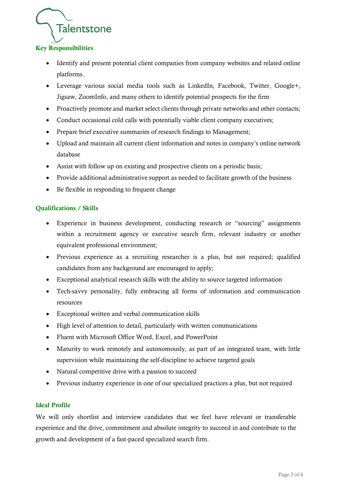

# Key Responsibilities

- Identify and present potential client companies from company websites and related online platforms.
- Leverage various social media tools such as LinkedIn, Facebook, Twitter, Google+, Jigsaw, ZoomInfo, and many others to identify potential prospects for the firm
- Proactively promote and market select clients through private networks and other contacts;
- Conduct occasional cold calls with potentially viable client company executives;
- Prepare brief executive summaries of research findings to Management;
- Upload and maintain all current client information and notes in company's online network database
- Assist with follow up on existing and prospective clients on a periodic basis;
- Provide additional administrative support as needed to facilitate growth of the business
- Be flexible in responding to frequent change

## Qualifications / Skills

- Experience in business development, conducting research or "sourcing" assignments within a recruitment agency or executive search firm, relevant industry or another equivalent professional environment;
- Previous experience as a recruiting researcher is a plus, but not required; qualified candidates from any background are encouraged to apply;
- Exceptional analytical research skills with the ability to source targeted information
- Tech-savvy personality, fully embracing all forms of information and communication resources
- Exceptional written and verbal communication skills
- High level of attention to detail, particularly with written communications
- Fluent with Microsoft Office Word, Excel, and PowerPoint
- Maturity to work remotely and autonomously, as part of an integrated team, with little supervision while maintaining the self-discipline to achieve targeted goals
- Natural competitive drive with a passion to succeed
- Previous industry experience in one of our specialized practices a plus, but not required

## Ideal Profile

We will only shortlist and interview candidates that we feel have relevant or transferable experience and the drive, commitment and absolute integrity to succeed in and contribute to the growth and development of a fast-paced specialized search firm.